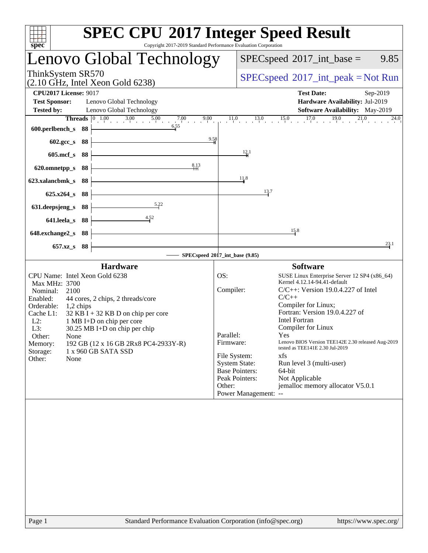| Copyright 2017-2019 Standard Performance Evaluation Corporation<br>spec <sup>®</sup> | <b>SPEC CPU®2017 Integer Speed Result</b>                                                                                     |
|--------------------------------------------------------------------------------------|-------------------------------------------------------------------------------------------------------------------------------|
| Lenovo Global Technology                                                             | $SPEC speed^{\circ}2017\_int\_base =$<br>9.85                                                                                 |
| ThinkSystem SR570<br>$(2.10 \text{ GHz}, \text{Intel Xeon Gold } 6238)$              | $SPEC speed^{\circ}2017\_int\_peak = Not Run$                                                                                 |
| <b>CPU2017 License: 9017</b><br><b>Test Sponsor:</b><br>Lenovo Global Technology     | <b>Test Date:</b><br>Sep-2019<br>Hardware Availability: Jul-2019                                                              |
| <b>Tested by:</b><br>Lenovo Global Technology                                        | Software Availability: May-2019                                                                                               |
|                                                                                      | <b>Threads</b> $\begin{bmatrix} 0 & 1.00 \\ 1.00 & 3.00 \end{bmatrix}$ 5.00 7.00 9.00 11.0 13.0 15.0 17.0 17.0 19.0 21.0 21.0 |
| 6.55<br>600.perlbench_s 88                                                           |                                                                                                                               |
| 9.58<br>602.gcc_s 88                                                                 |                                                                                                                               |
| 605.mcf_s 88                                                                         | 12.1                                                                                                                          |
| 8.13<br>620.omnetpp_s 88                                                             |                                                                                                                               |
| 623.xalancbmk s 88                                                                   | 11.8                                                                                                                          |
| $625.x264_s$ 88                                                                      | 13.7                                                                                                                          |
| 5.22<br>631.deepsjeng_s<br>88                                                        |                                                                                                                               |
| $-4.52$<br>641.leela_s 88                                                            |                                                                                                                               |
| 648.exchange2_s 88                                                                   | 15.8                                                                                                                          |
| 657.xz_s 88                                                                          | 23.1                                                                                                                          |
|                                                                                      | SPECspeed®2017_int_base (9.85)                                                                                                |
| <b>Hardware</b>                                                                      | <b>Software</b>                                                                                                               |
| CPU Name: Intel Xeon Gold 6238<br>Max MHz: 3700                                      | SUSE Linux Enterprise Server 12 SP4 (x86_64)<br>OS:<br>Kernel 4.12.14-94.41-default                                           |
| Nominal:<br>2100                                                                     | Compiler:<br>$C/C++$ : Version 19.0.4.227 of Intel                                                                            |
| 44 cores, 2 chips, 2 threads/core<br>Enabled:<br>Orderable:<br>$1,2$ chips           | $C/C++$<br>Compiler for Linux;                                                                                                |
| Cache L1:<br>$32$ KB I + 32 KB D on chip per core                                    | Fortran: Version 19.0.4.227 of                                                                                                |
| $L2$ :<br>1 MB I+D on chip per core<br>L3:<br>$30.25$ MB I+D on chip per chip        | <b>Intel Fortran</b><br>Compiler for Linux                                                                                    |
| Other:<br>None                                                                       | Parallel:<br>Yes                                                                                                              |
| 192 GB (12 x 16 GB 2Rx8 PC4-2933Y-R)<br>Memory:<br>1 x 960 GB SATA SSD<br>Storage:   | Lenovo BIOS Version TEE142E 2.30 released Aug-2019<br>Firmware:<br>tested as TEE141E 2.30 Jul-2019                            |
| Other:<br>None                                                                       | File System:<br>xfs                                                                                                           |
|                                                                                      | <b>System State:</b><br>Run level 3 (multi-user)<br><b>Base Pointers:</b><br>64-bit                                           |
|                                                                                      | Peak Pointers:<br>Not Applicable                                                                                              |
|                                                                                      | jemalloc memory allocator V5.0.1<br>Other:                                                                                    |
|                                                                                      | Power Management: --                                                                                                          |
|                                                                                      |                                                                                                                               |
|                                                                                      |                                                                                                                               |
|                                                                                      |                                                                                                                               |
|                                                                                      |                                                                                                                               |
|                                                                                      |                                                                                                                               |
|                                                                                      |                                                                                                                               |
|                                                                                      |                                                                                                                               |
|                                                                                      |                                                                                                                               |
|                                                                                      |                                                                                                                               |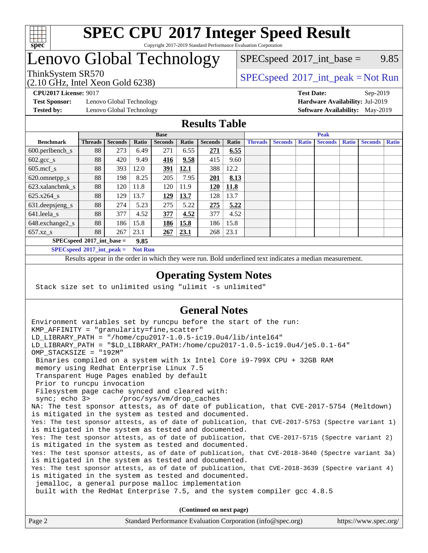

#### **[SPEC CPU](http://www.spec.org/auto/cpu2017/Docs/result-fields.html#SPECCPU2017IntegerSpeedResult)[2017 Integer Speed Result](http://www.spec.org/auto/cpu2017/Docs/result-fields.html#SPECCPU2017IntegerSpeedResult)** Copyright 2017-2019 Standard Performance Evaluation Corporation

### Lenovo Global Technology

 $SPECspeed^{\circ}2017\_int\_base =$  $SPECspeed^{\circ}2017\_int\_base =$  9.85

(2.10 GHz, Intel Xeon Gold 6238)

ThinkSystem SR570<br>  $SPEC speed^{\circ}2017\_int\_peak = Not Run$ 

**[Test Sponsor:](http://www.spec.org/auto/cpu2017/Docs/result-fields.html#TestSponsor)** Lenovo Global Technology **[Hardware Availability:](http://www.spec.org/auto/cpu2017/Docs/result-fields.html#HardwareAvailability)** Jul-2019

**[CPU2017 License:](http://www.spec.org/auto/cpu2017/Docs/result-fields.html#CPU2017License)** 9017 **[Test Date:](http://www.spec.org/auto/cpu2017/Docs/result-fields.html#TestDate)** Sep-2019 **[Tested by:](http://www.spec.org/auto/cpu2017/Docs/result-fields.html#Testedby)** Lenovo Global Technology **[Software Availability:](http://www.spec.org/auto/cpu2017/Docs/result-fields.html#SoftwareAvailability)** May-2019

#### **[Results Table](http://www.spec.org/auto/cpu2017/Docs/result-fields.html#ResultsTable)**

|                                    | <b>Base</b>    |                |       |                | <b>Peak</b> |                |       |                |                |              |                |              |                |              |
|------------------------------------|----------------|----------------|-------|----------------|-------------|----------------|-------|----------------|----------------|--------------|----------------|--------------|----------------|--------------|
| <b>Benchmark</b>                   | <b>Threads</b> | <b>Seconds</b> | Ratio | <b>Seconds</b> | Ratio       | <b>Seconds</b> | Ratio | <b>Threads</b> | <b>Seconds</b> | <b>Ratio</b> | <b>Seconds</b> | <b>Ratio</b> | <b>Seconds</b> | <b>Ratio</b> |
| $600.$ perlbench $\mathsf{S}$      | 88             | 273            | 6.49  | 271            | 6.55        | 271            | 6.55  |                |                |              |                |              |                |              |
| $602.\text{gcc}\_\text{s}$         | 88             | 420            | 9.49  | 416            | 9.58        | 415            | 9.60  |                |                |              |                |              |                |              |
| $605$ .mcf s                       | 88             | 393            | 12.0  | 391            | 12.1        | 388            | 12.2  |                |                |              |                |              |                |              |
| 620.omnetpp_s                      | 88             | 198            | 8.25  | 205            | 7.95        | 201            | 8.13  |                |                |              |                |              |                |              |
| 623.xalancbmk s                    | 88             | 120            | 11.8  | 120            | 11.9        | 120            | 11.8  |                |                |              |                |              |                |              |
| 625.x264 s                         | 88             | 129            | 13.7  | <u> 129</u>    | 13.7        | 128            | 13.7  |                |                |              |                |              |                |              |
| 631.deepsjeng_s                    | 88             | 274            | 5.23  | 275            | 5.22        | 275            | 5.22  |                |                |              |                |              |                |              |
| 641.leela s                        | 88             | 377            | 4.52  | 377            | 4.52        | 377            | 4.52  |                |                |              |                |              |                |              |
| 648.exchange2_s                    | 88             | 186            | 15.8  | 186            | 15.8        | 186            | 15.8  |                |                |              |                |              |                |              |
| $657.xz$ s                         | 88             | 267            | 23.1  | 267            | 23.1        | 268            | 23.1  |                |                |              |                |              |                |              |
| $SPECspeed^{\circ}2017$ int base = |                |                | 9.85  |                |             |                |       |                |                |              |                |              |                |              |

**[SPECspeed](http://www.spec.org/auto/cpu2017/Docs/result-fields.html#SPECspeed2017intpeak)[2017\\_int\\_peak =](http://www.spec.org/auto/cpu2017/Docs/result-fields.html#SPECspeed2017intpeak) Not Run**

Results appear in the [order in which they were run.](http://www.spec.org/auto/cpu2017/Docs/result-fields.html#RunOrder) Bold underlined text [indicates a median measurement.](http://www.spec.org/auto/cpu2017/Docs/result-fields.html#Median)

#### **[Operating System Notes](http://www.spec.org/auto/cpu2017/Docs/result-fields.html#OperatingSystemNotes)**

Stack size set to unlimited using "ulimit -s unlimited"

### **[General Notes](http://www.spec.org/auto/cpu2017/Docs/result-fields.html#GeneralNotes)**

Environment variables set by runcpu before the start of the run: KMP AFFINITY = "granularity=fine, scatter" LD\_LIBRARY\_PATH = "/home/cpu2017-1.0.5-ic19.0u4/lib/intel64" LD\_LIBRARY\_PATH = "\$LD\_LIBRARY\_PATH:/home/cpu2017-1.0.5-ic19.0u4/je5.0.1-64" OMP\_STACKSIZE = "192M" Binaries compiled on a system with 1x Intel Core i9-799X CPU + 32GB RAM memory using Redhat Enterprise Linux 7.5 Transparent Huge Pages enabled by default Prior to runcpu invocation Filesystem page cache synced and cleared with: sync; echo 3> /proc/sys/vm/drop\_caches NA: The test sponsor attests, as of date of publication, that CVE-2017-5754 (Meltdown) is mitigated in the system as tested and documented. Yes: The test sponsor attests, as of date of publication, that CVE-2017-5753 (Spectre variant 1) is mitigated in the system as tested and documented. Yes: The test sponsor attests, as of date of publication, that CVE-2017-5715 (Spectre variant 2) is mitigated in the system as tested and documented. Yes: The test sponsor attests, as of date of publication, that CVE-2018-3640 (Spectre variant 3a) is mitigated in the system as tested and documented. Yes: The test sponsor attests, as of date of publication, that CVE-2018-3639 (Spectre variant 4) is mitigated in the system as tested and documented. jemalloc, a general purpose malloc implementation built with the RedHat Enterprise 7.5, and the system compiler gcc 4.8.5 **(Continued on next page)**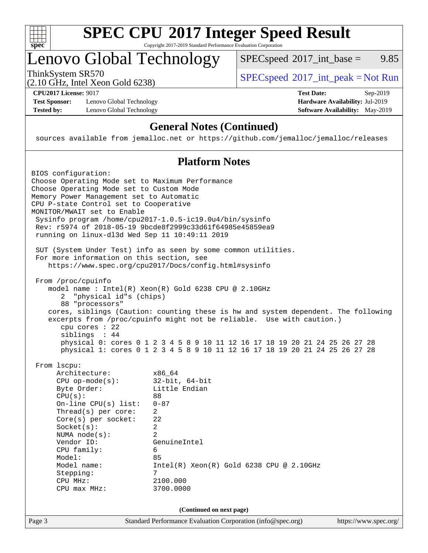

# **[SPEC CPU](http://www.spec.org/auto/cpu2017/Docs/result-fields.html#SPECCPU2017IntegerSpeedResult)[2017 Integer Speed Result](http://www.spec.org/auto/cpu2017/Docs/result-fields.html#SPECCPU2017IntegerSpeedResult)**

Copyright 2017-2019 Standard Performance Evaluation Corporation

### Lenovo Global Technology

ThinkSystem SR570<br>  $(2.10 \text{ GHz} \text{ Intel } \text{Yoon} \text{ Gold } 6238)$  [SPECspeed](http://www.spec.org/auto/cpu2017/Docs/result-fields.html#SPECspeed2017intpeak)<sup>®</sup>[2017\\_int\\_peak = N](http://www.spec.org/auto/cpu2017/Docs/result-fields.html#SPECspeed2017intpeak)ot Run

 $SPECspeed^{\circledcirc}2017\_int\_base = 9.85$  $SPECspeed^{\circledcirc}2017\_int\_base = 9.85$ 

(2.10 GHz, Intel Xeon Gold 6238)

**[Test Sponsor:](http://www.spec.org/auto/cpu2017/Docs/result-fields.html#TestSponsor)** Lenovo Global Technology **[Hardware Availability:](http://www.spec.org/auto/cpu2017/Docs/result-fields.html#HardwareAvailability)** Jul-2019 **[Tested by:](http://www.spec.org/auto/cpu2017/Docs/result-fields.html#Testedby)** Lenovo Global Technology **[Software Availability:](http://www.spec.org/auto/cpu2017/Docs/result-fields.html#SoftwareAvailability)** May-2019

**[CPU2017 License:](http://www.spec.org/auto/cpu2017/Docs/result-fields.html#CPU2017License)** 9017 **[Test Date:](http://www.spec.org/auto/cpu2017/Docs/result-fields.html#TestDate)** Sep-2019

### **[General Notes \(Continued\)](http://www.spec.org/auto/cpu2017/Docs/result-fields.html#GeneralNotes)**

sources available from jemalloc.net or <https://github.com/jemalloc/jemalloc/releases>

#### **[Platform Notes](http://www.spec.org/auto/cpu2017/Docs/result-fields.html#PlatformNotes)**

| SUT (System Under Test) info as seen by some common utilities.<br>For more information on this section, see<br>https://www.spec.org/cpu2017/Docs/config.html#sysinfo<br>From /proc/cpuinfo<br>model name : Intel(R) $Xeon(R)$ Gold 6238 CPU @ 2.10GHz<br>"physical id"s (chips)<br>2<br>88 "processors"<br>cores, siblings (Caution: counting these is hw and system dependent. The following<br>excerpts from /proc/cpuinfo might not be reliable. Use with caution.)<br>$cpu$ cores : 22<br>siblings : 44<br>physical 0: cores 0 1 2 3 4 5 8 9 10 11 12 16 17 18 19 20 21 24 25 26 27 28<br>physical 1: cores 0 1 2 3 4 5 8 9 10 11 12 16 17 18 19 20 21 24 25 26 27 28<br>From 1scpu:<br>Architecture:<br>x86_64<br>$32$ -bit, $64$ -bit<br>$CPU$ op-mode( $s$ ):<br>Byte Order:<br>Little Endian<br>CPU(s):<br>88<br>$0 - 87$<br>On-line $CPU(s)$ list:<br>$\overline{2}$<br>Thread(s) per core:<br>22<br>$Core(s)$ per socket:<br>Socket(s):<br>2<br>$\mathfrak{D}$<br>NUMA $node(s):$<br>Vendor ID:<br>GenuineIntel<br>CPU family:<br>6<br>Model:<br>85<br>Model name:<br>$Intel(R) Xeon(R) Gold 6238 CPU @ 2.10GHz$<br>7<br>Stepping:<br>2100.000<br>CPU MHz:<br>3700.0000<br>$CPU$ max $MHz$ :<br>(Continued on next page)<br>Standard Performance Evaluation Corporation (info@spec.org)<br>https://www.spec.org/ | BIOS configuration:<br>Choose Operating Mode set to Maximum Performance<br>Choose Operating Mode set to Custom Mode<br>Memory Power Management set to Automatic<br>CPU P-state Control set to Cooperative<br>MONITOR/MWAIT set to Enable<br>running on linux-dl3d Wed Sep 11 10:49:11 2019 | Sysinfo program /home/cpu2017-1.0.5-ic19.0u4/bin/sysinfo<br>Rev: r5974 of 2018-05-19 9bcde8f2999c33d61f64985e45859ea9 |
|----------------------------------------------------------------------------------------------------------------------------------------------------------------------------------------------------------------------------------------------------------------------------------------------------------------------------------------------------------------------------------------------------------------------------------------------------------------------------------------------------------------------------------------------------------------------------------------------------------------------------------------------------------------------------------------------------------------------------------------------------------------------------------------------------------------------------------------------------------------------------------------------------------------------------------------------------------------------------------------------------------------------------------------------------------------------------------------------------------------------------------------------------------------------------------------------------------------------------------------------------------------------------------------------------------------------------|--------------------------------------------------------------------------------------------------------------------------------------------------------------------------------------------------------------------------------------------------------------------------------------------|-----------------------------------------------------------------------------------------------------------------------|
|                                                                                                                                                                                                                                                                                                                                                                                                                                                                                                                                                                                                                                                                                                                                                                                                                                                                                                                                                                                                                                                                                                                                                                                                                                                                                                                            |                                                                                                                                                                                                                                                                                            |                                                                                                                       |
|                                                                                                                                                                                                                                                                                                                                                                                                                                                                                                                                                                                                                                                                                                                                                                                                                                                                                                                                                                                                                                                                                                                                                                                                                                                                                                                            |                                                                                                                                                                                                                                                                                            |                                                                                                                       |
|                                                                                                                                                                                                                                                                                                                                                                                                                                                                                                                                                                                                                                                                                                                                                                                                                                                                                                                                                                                                                                                                                                                                                                                                                                                                                                                            |                                                                                                                                                                                                                                                                                            |                                                                                                                       |
|                                                                                                                                                                                                                                                                                                                                                                                                                                                                                                                                                                                                                                                                                                                                                                                                                                                                                                                                                                                                                                                                                                                                                                                                                                                                                                                            | Page 3                                                                                                                                                                                                                                                                                     |                                                                                                                       |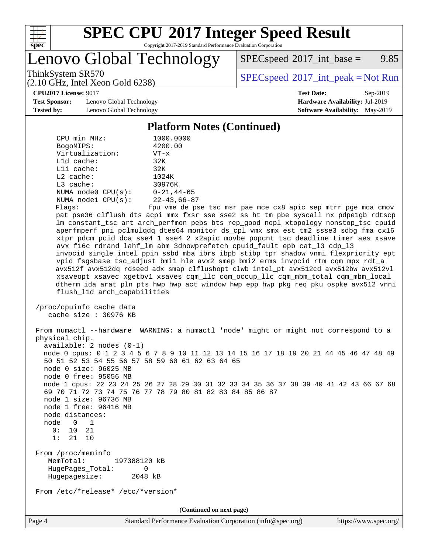

## **[SPEC CPU](http://www.spec.org/auto/cpu2017/Docs/result-fields.html#SPECCPU2017IntegerSpeedResult)[2017 Integer Speed Result](http://www.spec.org/auto/cpu2017/Docs/result-fields.html#SPECCPU2017IntegerSpeedResult)**

Copyright 2017-2019 Standard Performance Evaluation Corporation

Lenovo Global Technology

 $SPECspeed^{\circledcirc}2017\_int\_base = 9.85$  $SPECspeed^{\circledcirc}2017\_int\_base = 9.85$ 

(2.10 GHz, Intel Xeon Gold 6238)

ThinkSystem SR570<br>  $(2.10 \text{ GHz} \text{ Intel } \text{Yoon} \text{ Gold } 6238)$  [SPECspeed](http://www.spec.org/auto/cpu2017/Docs/result-fields.html#SPECspeed2017intpeak)<sup>®</sup>[2017\\_int\\_peak = N](http://www.spec.org/auto/cpu2017/Docs/result-fields.html#SPECspeed2017intpeak)ot Run

**[CPU2017 License:](http://www.spec.org/auto/cpu2017/Docs/result-fields.html#CPU2017License)** 9017 **[Test Date:](http://www.spec.org/auto/cpu2017/Docs/result-fields.html#TestDate)** Sep-2019

**[Test Sponsor:](http://www.spec.org/auto/cpu2017/Docs/result-fields.html#TestSponsor)** Lenovo Global Technology **[Hardware Availability:](http://www.spec.org/auto/cpu2017/Docs/result-fields.html#HardwareAvailability)** Jul-2019 **[Tested by:](http://www.spec.org/auto/cpu2017/Docs/result-fields.html#Testedby)** Lenovo Global Technology **[Software Availability:](http://www.spec.org/auto/cpu2017/Docs/result-fields.html#SoftwareAvailability)** May-2019

#### **[Platform Notes \(Continued\)](http://www.spec.org/auto/cpu2017/Docs/result-fields.html#PlatformNotes)**

| CPU min MHz:                                                                                         | 1000.0000                                                                                                                                                                      |
|------------------------------------------------------------------------------------------------------|--------------------------------------------------------------------------------------------------------------------------------------------------------------------------------|
| BogoMIPS:<br>Virtualization:                                                                         | 4200.00<br>$VT - x$                                                                                                                                                            |
| $L1d$ cache:                                                                                         | 32K                                                                                                                                                                            |
| Lli cache:                                                                                           | 32K                                                                                                                                                                            |
| $L2$ cache:                                                                                          | 1024K                                                                                                                                                                          |
| L3 cache:                                                                                            | 30976K                                                                                                                                                                         |
| NUMA $node0$ $CPU(s):$                                                                               | $0 - 21$ , 44-65                                                                                                                                                               |
| NUMA nodel $CPU(s):$                                                                                 | 22-43,66-87                                                                                                                                                                    |
| Flags:                                                                                               | fpu vme de pse tsc msr pae mce cx8 apic sep mtrr pge mca cmov                                                                                                                  |
|                                                                                                      | pat pse36 clflush dts acpi mmx fxsr sse sse2 ss ht tm pbe syscall nx pdpelgb rdtscp                                                                                            |
|                                                                                                      | lm constant_tsc art arch_perfmon pebs bts rep_good nopl xtopology nonstop_tsc cpuid                                                                                            |
|                                                                                                      | aperfmperf pni pclmulqdq dtes64 monitor ds_cpl vmx smx est tm2 ssse3 sdbg fma cx16                                                                                             |
|                                                                                                      | xtpr pdcm pcid dca sse4_1 sse4_2 x2apic movbe popcnt tsc_deadline_timer aes xsave                                                                                              |
|                                                                                                      | avx f16c rdrand lahf_lm abm 3dnowprefetch cpuid_fault epb cat_13 cdp_13                                                                                                        |
|                                                                                                      | invpcid_single intel_ppin ssbd mba ibrs ibpb stibp tpr_shadow vnmi flexpriority ept                                                                                            |
|                                                                                                      | vpid fsgsbase tsc_adjust bmil hle avx2 smep bmi2 erms invpcid rtm cqm mpx rdt_a                                                                                                |
|                                                                                                      | avx512f avx512dq rdseed adx smap clflushopt clwb intel_pt avx512cd avx512bw avx512vl                                                                                           |
|                                                                                                      | xsaveopt xsavec xgetbvl xsaves cqm_llc cqm_occup_llc cqm_mbm_total cqm_mbm_local                                                                                               |
| flush_11d arch_capabilities                                                                          | dtherm ida arat pln pts hwp hwp_act_window hwp_epp hwp_pkg_req pku ospke avx512_vnni                                                                                           |
|                                                                                                      |                                                                                                                                                                                |
| /proc/cpuinfo cache data                                                                             |                                                                                                                                                                                |
| cache size $: 30976$ KB                                                                              |                                                                                                                                                                                |
| physical chip.<br>$available: 2 nodes (0-1)$                                                         | From numactl --hardware WARNING: a numactl 'node' might or might not correspond to a<br>node 0 cpus: 0 1 2 3 4 5 6 7 8 9 10 11 12 13 14 15 16 17 18 19 20 21 44 45 46 47 48 49 |
| 50 51 52 53 54 55 56 57 58 59 60 61 62 63 64 65<br>node 0 size: 96025 MB                             |                                                                                                                                                                                |
| node 0 free: 95056 MB                                                                                |                                                                                                                                                                                |
|                                                                                                      | node 1 cpus: 22 23 24 25 26 27 28 29 30 31 32 33 34 35 36 37 38 39 40 41 42 43 66 67 68                                                                                        |
|                                                                                                      | 69 70 71 72 73 74 75 76 77 78 79 80 81 82 83 84 85 86 87                                                                                                                       |
| node 1 size: 96736 MB                                                                                |                                                                                                                                                                                |
| node 1 free: 96416 MB                                                                                |                                                                                                                                                                                |
| node distances:                                                                                      |                                                                                                                                                                                |
| node<br>$\overline{\phantom{0}}$<br>1                                                                |                                                                                                                                                                                |
| 0:<br>- 21<br>10<br>1:                                                                               |                                                                                                                                                                                |
| 21<br>10                                                                                             |                                                                                                                                                                                |
| From /proc/meminfo<br>MemTotal:<br>197388120 kB<br>HugePages_Total:<br>0<br>Hugepagesize:<br>2048 kB |                                                                                                                                                                                |
|                                                                                                      |                                                                                                                                                                                |
| From /etc/*release* /etc/*version*                                                                   |                                                                                                                                                                                |
|                                                                                                      | (Continued on next page)                                                                                                                                                       |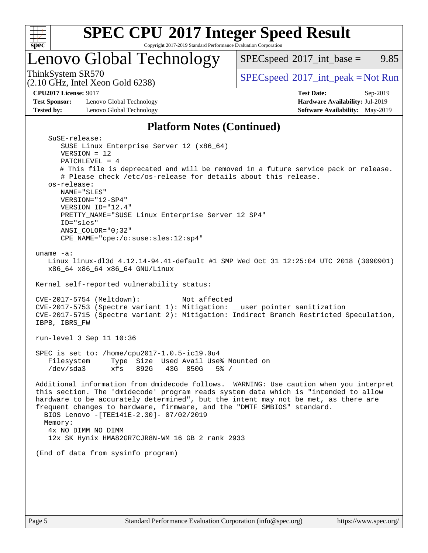

## **[SPEC CPU](http://www.spec.org/auto/cpu2017/Docs/result-fields.html#SPECCPU2017IntegerSpeedResult)[2017 Integer Speed Result](http://www.spec.org/auto/cpu2017/Docs/result-fields.html#SPECCPU2017IntegerSpeedResult)**

Copyright 2017-2019 Standard Performance Evaluation Corporation

### Lenovo Global Technology

ThinkSystem SR570<br>  $(2.10 \text{ GHz} \text{ Intel } \text{Yoon} \text{ Gold } 6238)$  [SPECspeed](http://www.spec.org/auto/cpu2017/Docs/result-fields.html#SPECspeed2017intpeak)<sup>®</sup>[2017\\_int\\_peak = N](http://www.spec.org/auto/cpu2017/Docs/result-fields.html#SPECspeed2017intpeak)ot Run  $SPECspeed^{\circledcirc}2017\_int\_base = 9.85$  $SPECspeed^{\circledcirc}2017\_int\_base = 9.85$ 

(2.10 GHz, Intel Xeon Gold 6238)

**[Test Sponsor:](http://www.spec.org/auto/cpu2017/Docs/result-fields.html#TestSponsor)** Lenovo Global Technology **[Hardware Availability:](http://www.spec.org/auto/cpu2017/Docs/result-fields.html#HardwareAvailability)** Jul-2019 **[Tested by:](http://www.spec.org/auto/cpu2017/Docs/result-fields.html#Testedby)** Lenovo Global Technology **[Software Availability:](http://www.spec.org/auto/cpu2017/Docs/result-fields.html#SoftwareAvailability)** May-2019

**[CPU2017 License:](http://www.spec.org/auto/cpu2017/Docs/result-fields.html#CPU2017License)** 9017 **[Test Date:](http://www.spec.org/auto/cpu2017/Docs/result-fields.html#TestDate)** Sep-2019

#### **[Platform Notes \(Continued\)](http://www.spec.org/auto/cpu2017/Docs/result-fields.html#PlatformNotes)**

| SuSE-release:                                                                          |
|----------------------------------------------------------------------------------------|
| SUSE Linux Enterprise Server 12 (x86_64)                                               |
| $VERSION = 12$                                                                         |
| PATCHLEVEL = $4$                                                                       |
| # This file is deprecated and will be removed in a future service pack or release.     |
| # Please check /etc/os-release for details about this release.                         |
| os-release:                                                                            |
| NAME="SLES"                                                                            |
|                                                                                        |
| VERSION="12-SP4"                                                                       |
| VERSION_ID="12.4"                                                                      |
| PRETTY_NAME="SUSE Linux Enterprise Server 12 SP4"                                      |
| ID="sles"                                                                              |
| $ANSI$ _COLOR=" $0:32$ "                                                               |
| CPE_NAME="cpe:/o:suse:sles:12:sp4"                                                     |
|                                                                                        |
| uname $-a$ :                                                                           |
| Linux linux-dl3d 4.12.14-94.41-default #1 SMP Wed Oct 31 12:25:04 UTC 2018 (3090901)   |
| x86_64 x86_64 x86_64 GNU/Linux                                                         |
|                                                                                        |
| Kernel self-reported vulnerability status:                                             |
|                                                                                        |
| CVE-2017-5754 (Meltdown):<br>Not affected                                              |
| CVE-2017-5753 (Spectre variant 1): Mitigation: __user pointer sanitization             |
| CVE-2017-5715 (Spectre variant 2): Mitigation: Indirect Branch Restricted Speculation, |
| IBPB, IBRS_FW                                                                          |
|                                                                                        |
| run-level 3 Sep 11 10:36                                                               |
|                                                                                        |
| SPEC is set to: /home/cpu2017-1.0.5-ic19.0u4                                           |
| Filesystem<br>Type Size Used Avail Use% Mounted on                                     |
| /dev/sda3<br>xfs 892G 43G 850G 5% /                                                    |
|                                                                                        |
| Additional information from dmidecode follows. WARNING: Use caution when you interpret |
| this section. The 'dmidecode' program reads system data which is "intended to allow    |
|                                                                                        |
| hardware to be accurately determined", but the intent may not be met, as there are     |
| frequent changes to hardware, firmware, and the "DMTF SMBIOS" standard.                |
| BIOS Lenovo - [TEE141E-2.30]- 07/02/2019                                               |
| Memory:                                                                                |
| 4x NO DIMM NO DIMM                                                                     |
| 12x SK Hynix HMA82GR7CJR8N-WM 16 GB 2 rank 2933                                        |
|                                                                                        |
| (End of data from sysinfo program)                                                     |
|                                                                                        |
|                                                                                        |
|                                                                                        |
|                                                                                        |
|                                                                                        |
|                                                                                        |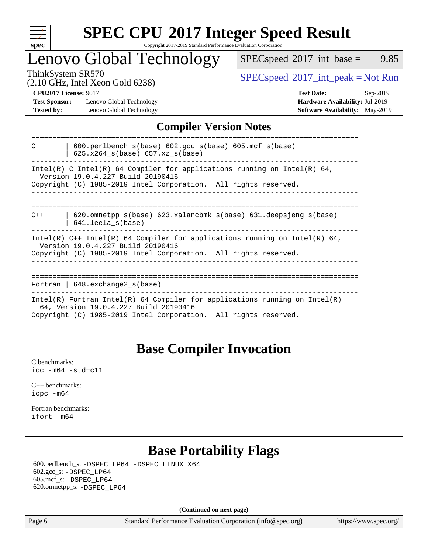

#### **[SPEC CPU](http://www.spec.org/auto/cpu2017/Docs/result-fields.html#SPECCPU2017IntegerSpeedResult)[2017 Integer Speed Result](http://www.spec.org/auto/cpu2017/Docs/result-fields.html#SPECCPU2017IntegerSpeedResult)** Copyright 2017-2019 Standard Performance Evaluation Corporation

### Lenovo Global Technology

 $SPECspeed^{\circ}2017\_int\_base =$  $SPECspeed^{\circ}2017\_int\_base =$  9.85

(2.10 GHz, Intel Xeon Gold 6238)

ThinkSystem SR570<br>  $\begin{array}{c}\n\text{SPEC speed} \text{?}2017\_int\_peak = Not Run \\
\text{CHz Total Case} \end{array}$ 

**[Test Sponsor:](http://www.spec.org/auto/cpu2017/Docs/result-fields.html#TestSponsor)** Lenovo Global Technology **[Hardware Availability:](http://www.spec.org/auto/cpu2017/Docs/result-fields.html#HardwareAvailability)** Jul-2019 **[Tested by:](http://www.spec.org/auto/cpu2017/Docs/result-fields.html#Testedby)** Lenovo Global Technology **[Software Availability:](http://www.spec.org/auto/cpu2017/Docs/result-fields.html#SoftwareAvailability)** May-2019

**[CPU2017 License:](http://www.spec.org/auto/cpu2017/Docs/result-fields.html#CPU2017License)** 9017 **[Test Date:](http://www.spec.org/auto/cpu2017/Docs/result-fields.html#TestDate)** Sep-2019

### **[Compiler Version Notes](http://www.spec.org/auto/cpu2017/Docs/result-fields.html#CompilerVersionNotes)**

| $600.$ perlbench $s(base)$ $602.$ qcc $s(base)$ $605.$ mcf $s(base)$<br>C<br>625.x264 s(base) 657.xz s(base)                                                                       |
|------------------------------------------------------------------------------------------------------------------------------------------------------------------------------------|
| Intel(R) C Intel(R) 64 Compiler for applications running on Intel(R) 64,<br>Version 19.0.4.227 Build 20190416<br>Copyright (C) 1985-2019 Intel Corporation. All rights reserved.   |
|                                                                                                                                                                                    |
| $620$ .omnetpp $s(base)$ 623.xalancbmk $s(base)$ 631.deepsjeng $s(base)$<br>$C++$<br>641.leela_s(base)                                                                             |
| Intel(R) C++ Intel(R) 64 Compiler for applications running on Intel(R) 64,<br>Version 19.0.4.227 Build 20190416<br>Copyright (C) 1985-2019 Intel Corporation. All rights reserved. |
|                                                                                                                                                                                    |
| Fortran   $648$ . exchange2 $s$ (base)                                                                                                                                             |
| Intel(R) Fortran Intel(R) 64 Compiler for applications running on Intel(R)<br>64, Version 19.0.4.227 Build 20190416                                                                |
| Copyright (C) 1985-2019 Intel Corporation. All rights reserved.                                                                                                                    |
|                                                                                                                                                                                    |

### **[Base Compiler Invocation](http://www.spec.org/auto/cpu2017/Docs/result-fields.html#BaseCompilerInvocation)**

[C benchmarks](http://www.spec.org/auto/cpu2017/Docs/result-fields.html#Cbenchmarks): [icc -m64 -std=c11](http://www.spec.org/cpu2017/results/res2019q4/cpu2017-20190916-18206.flags.html#user_CCbase_intel_icc_64bit_c11_33ee0cdaae7deeeab2a9725423ba97205ce30f63b9926c2519791662299b76a0318f32ddfffdc46587804de3178b4f9328c46fa7c2b0cd779d7a61945c91cd35)

[C++ benchmarks:](http://www.spec.org/auto/cpu2017/Docs/result-fields.html#CXXbenchmarks) [icpc -m64](http://www.spec.org/cpu2017/results/res2019q4/cpu2017-20190916-18206.flags.html#user_CXXbase_intel_icpc_64bit_4ecb2543ae3f1412ef961e0650ca070fec7b7afdcd6ed48761b84423119d1bf6bdf5cad15b44d48e7256388bc77273b966e5eb805aefd121eb22e9299b2ec9d9)

[Fortran benchmarks](http://www.spec.org/auto/cpu2017/Docs/result-fields.html#Fortranbenchmarks): [ifort -m64](http://www.spec.org/cpu2017/results/res2019q4/cpu2017-20190916-18206.flags.html#user_FCbase_intel_ifort_64bit_24f2bb282fbaeffd6157abe4f878425411749daecae9a33200eee2bee2fe76f3b89351d69a8130dd5949958ce389cf37ff59a95e7a40d588e8d3a57e0c3fd751)

### **[Base Portability Flags](http://www.spec.org/auto/cpu2017/Docs/result-fields.html#BasePortabilityFlags)**

 600.perlbench\_s: [-DSPEC\\_LP64](http://www.spec.org/cpu2017/results/res2019q4/cpu2017-20190916-18206.flags.html#b600.perlbench_s_basePORTABILITY_DSPEC_LP64) [-DSPEC\\_LINUX\\_X64](http://www.spec.org/cpu2017/results/res2019q4/cpu2017-20190916-18206.flags.html#b600.perlbench_s_baseCPORTABILITY_DSPEC_LINUX_X64) 602.gcc\_s: [-DSPEC\\_LP64](http://www.spec.org/cpu2017/results/res2019q4/cpu2017-20190916-18206.flags.html#suite_basePORTABILITY602_gcc_s_DSPEC_LP64) 605.mcf\_s: [-DSPEC\\_LP64](http://www.spec.org/cpu2017/results/res2019q4/cpu2017-20190916-18206.flags.html#suite_basePORTABILITY605_mcf_s_DSPEC_LP64) 620.omnetpp\_s: [-DSPEC\\_LP64](http://www.spec.org/cpu2017/results/res2019q4/cpu2017-20190916-18206.flags.html#suite_basePORTABILITY620_omnetpp_s_DSPEC_LP64)

**(Continued on next page)**

Page 6 Standard Performance Evaluation Corporation [\(info@spec.org\)](mailto:info@spec.org) <https://www.spec.org/>